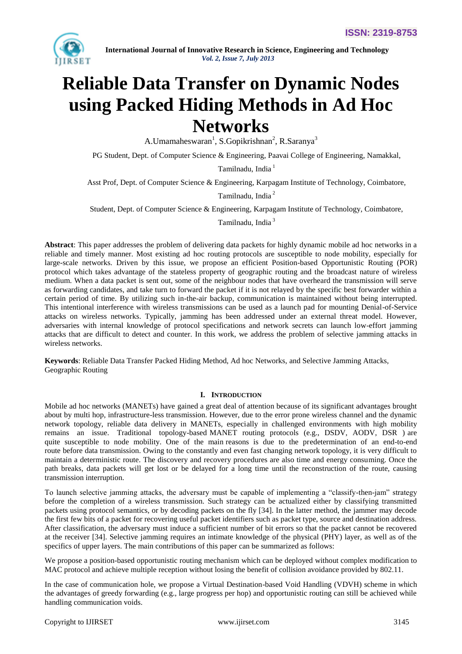

# **Reliable Data Transfer on Dynamic Nodes using Packed Hiding Methods in Ad Hoc Networks**

A.Umamaheswaran<sup>1</sup>, S.Gopikrishnan<sup>2</sup>, R.Saranya<sup>3</sup>

PG Student, Dept. of Computer Science & Engineering, Paavai College of Engineering, Namakkal,

Tamilnadu, India<sup>1</sup>

Asst Prof, Dept. of Computer Science & Engineering, Karpagam Institute of Technology, Coimbatore,

Tamilnadu, India <sup>2</sup>

Student, Dept. of Computer Science & Engineering, Karpagam Institute of Technology, Coimbatore,

Tamilnadu, India <sup>3</sup>

**Abstract**: This paper addresses the problem of delivering data packets for highly dynamic mobile ad hoc networks in a reliable and timely manner. Most existing ad hoc routing protocols are susceptible to node mobility, especially for large-scale networks. Driven by this issue, we propose an efficient Position-based Opportunistic Routing (POR) protocol which takes advantage of the stateless property of geographic routing and the broadcast nature of wireless medium. When a data packet is sent out, some of the neighbour nodes that have overheard the transmission will serve as forwarding candidates, and take turn to forward the packet if it is not relayed by the specific best forwarder within a certain period of time. By utilizing such in-the-air backup, communication is maintained without being interrupted. This intentional interference with wireless transmissions can be used as a launch pad for mounting Denial-of-Service attacks on wireless networks. Typically, jamming has been addressed under an external threat model. However, adversaries with internal knowledge of protocol specifications and network secrets can launch low-effort jamming attacks that are difficult to detect and counter. In this work, we address the problem of selective jamming attacks in wireless networks.

**Keywords**: Reliable Data Transfer Packed Hiding Method, Ad hoc Networks, and Selective Jamming Attacks, Geographic Routing

# **I. INTRODUCTION**

Mobile ad hoc networks (MANETs) have gained a great deal of attention because of its significant advantages brought about by multi hop, infrastructure-less transmission. However, due to the error prone wireless channel and the dynamic network topology, reliable data delivery in MANETs, especially in challenged environments with high mobility remains an issue. Traditional topology-based MANET routing protocols (e.g., DSDV, AODV, DSR ) are quite susceptible to node mobility. One of the main reasons is due to the predetermination of an end-to-end route before data transmission. Owing to the constantly and even fast changing network topology, it is very difficult to maintain a deterministic route. The discovery and recovery procedures are also time and energy consuming. Once the path breaks, data packets will get lost or be delayed for a long time until the reconstruction of the route, causing transmission interruption.

To launch selective jamming attacks, the adversary must be capable of implementing a "classify-then-jam" strategy before the completion of a wireless transmission. Such strategy can be actualized either by classifying transmitted packets using protocol semantics, or by decoding packets on the fly [34]. In the latter method, the jammer may decode the first few bits of a packet for recovering useful packet identifiers such as packet type, source and destination address. After classification, the adversary must induce a sufficient number of bit errors so that the packet cannot be recovered at the receiver [34]. Selective jamming requires an intimate knowledge of the physical (PHY) layer, as well as of the specifics of upper layers. The main contributions of this paper can be summarized as follows:

We propose a position-based opportunistic routing mechanism which can be deployed without complex modification to MAC protocol and achieve multiple reception without losing the benefit of collision avoidance provided by 802.11.

In the case of communication hole, we propose a Virtual Destination-based Void Handling (VDVH) scheme in which the advantages of greedy forwarding (e.g., large progress per hop) and opportunistic routing can still be achieved while handling communication voids.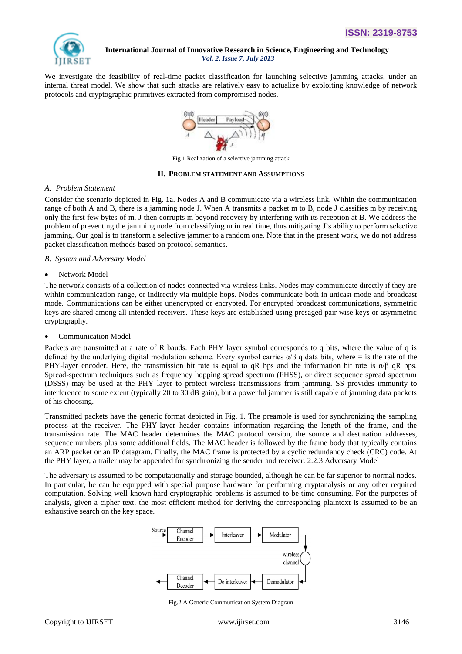

We investigate the feasibility of real-time packet classification for launching selective jamming attacks, under an internal threat model. We show that such attacks are relatively easy to actualize by exploiting knowledge of network protocols and cryptographic primitives extracted from compromised nodes.



Fig 1 Realization of a selective jamming attack

### **II. PROBLEM STATEMENT AND ASSUMPTIONS**

### *A. Problem Statement*

Consider the scenario depicted in Fig. 1a. Nodes A and B communicate via a wireless link. Within the communication range of both A and B, there is a jamming node J. When A transmits a packet m to B, node J classifies m by receiving only the first few bytes of m. J then corrupts m beyond recovery by interfering with its reception at B. We address the problem of preventing the jamming node from classifying m in real time, thus mitigating J"s ability to perform selective jamming. Our goal is to transform a selective jammer to a random one. Note that in the present work, we do not address packet classification methods based on protocol semantics.

## *B. System and Adversary Model*

• Network Model

The network consists of a collection of nodes connected via wireless links. Nodes may communicate directly if they are within communication range, or indirectly via multiple hops. Nodes communicate both in unicast mode and broadcast mode. Communications can be either unencrypted or encrypted. For encrypted broadcast communications, symmetric keys are shared among all intended receivers. These keys are established using presaged pair wise keys or asymmetric cryptography.

Communication Model

Packets are transmitted at a rate of R bauds. Each PHY layer symbol corresponds to q bits, where the value of q is defined by the underlying digital modulation scheme. Every symbol carries  $\alpha/\beta$  q data bits, where = is the rate of the PHY-layer encoder. Here, the transmission bit rate is equal to qR bps and the information bit rate is  $\alpha/\beta$  qR bps. Spread-spectrum techniques such as frequency hopping spread spectrum (FHSS), or direct sequence spread spectrum (DSSS) may be used at the PHY layer to protect wireless transmissions from jamming. SS provides immunity to interference to some extent (typically 20 to 30 dB gain), but a powerful jammer is still capable of jamming data packets of his choosing.

Transmitted packets have the generic format depicted in Fig. 1. The preamble is used for synchronizing the sampling process at the receiver. The PHY-layer header contains information regarding the length of the frame, and the transmission rate. The MAC header determines the MAC protocol version, the source and destination addresses, sequence numbers plus some additional fields. The MAC header is followed by the frame body that typically contains an ARP packet or an IP datagram. Finally, the MAC frame is protected by a cyclic redundancy check (CRC) code. At the PHY layer, a trailer may be appended for synchronizing the sender and receiver. 2.2.3 Adversary Model

The adversary is assumed to be computationally and storage bounded, although he can be far superior to normal nodes. In particular, he can be equipped with special purpose hardware for performing cryptanalysis or any other required computation. Solving well-known hard cryptographic problems is assumed to be time consuming. For the purposes of analysis, given a cipher text, the most efficient method for deriving the corresponding plaintext is assumed to be an exhaustive search on the key space.



Fig.2.A Generic Communication System Diagram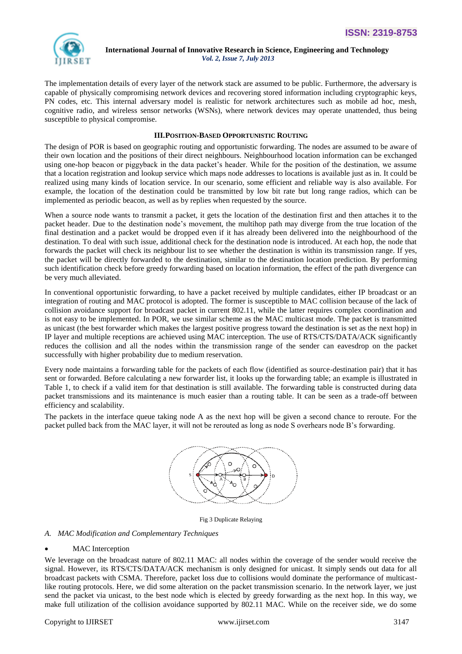

The implementation details of every layer of the network stack are assumed to be public. Furthermore, the adversary is capable of physically compromising network devices and recovering stored information including cryptographic keys, PN codes, etc. This internal adversary model is realistic for network architectures such as mobile ad hoc, mesh, cognitive radio, and wireless sensor networks (WSNs), where network devices may operate unattended, thus being susceptible to physical compromise.

# **III.POSITION-BASED OPPORTUNISTIC ROUTING**

The design of POR is based on geographic routing and opportunistic forwarding. The nodes are assumed to be aware of their own location and the positions of their direct neighbours. Neighbourhood location information can be exchanged using one-hop beacon or piggyback in the data packet's header. While for the position of the destination, we assume that a location registration and lookup service which maps node addresses to locations is available just as in. It could be realized using many kinds of location service. In our scenario, some efficient and reliable way is also available. For example, the location of the destination could be transmitted by low bit rate but long range radios, which can be implemented as periodic beacon, as well as by replies when requested by the source.

When a source node wants to transmit a packet, it gets the location of the destination first and then attaches it to the packet header. Due to the destination node"s movement, the multihop path may diverge from the true location of the final destination and a packet would be dropped even if it has already been delivered into the neighbourhood of the destination. To deal with such issue, additional check for the destination node is introduced. At each hop, the node that forwards the packet will check its neighbour list to see whether the destination is within its transmission range. If yes, the packet will be directly forwarded to the destination, similar to the destination location prediction. By performing such identification check before greedy forwarding based on location information, the effect of the path divergence can be very much alleviated.

In conventional opportunistic forwarding, to have a packet received by multiple candidates, either IP broadcast or an integration of routing and MAC protocol is adopted. The former is susceptible to MAC collision because of the lack of collision avoidance support for broadcast packet in current 802.11, while the latter requires complex coordination and is not easy to be implemented. In POR, we use similar scheme as the MAC multicast mode. The packet is transmitted as unicast (the best forwarder which makes the largest positive progress toward the destination is set as the next hop) in IP layer and multiple receptions are achieved using MAC interception. The use of RTS/CTS/DATA/ACK significantly reduces the collision and all the nodes within the transmission range of the sender can eavesdrop on the packet successfully with higher probability due to medium reservation.

Every node maintains a forwarding table for the packets of each flow (identified as source-destination pair) that it has sent or forwarded. Before calculating a new forwarder list, it looks up the forwarding table; an example is illustrated in Table 1, to check if a valid item for that destination is still available. The forwarding table is constructed during data packet transmissions and its maintenance is much easier than a routing table. It can be seen as a trade-off between efficiency and scalability.

The packets in the interface queue taking node A as the next hop will be given a second chance to reroute. For the packet pulled back from the MAC layer, it will not be rerouted as long as node S overhears node B"s forwarding.



Fig 3 Duplicate Relaying

# *A. MAC Modification and Complementary Techniques*

# MAC Interception

We leverage on the broadcast nature of 802.11 MAC: all nodes within the coverage of the sender would receive the signal. However, its RTS/CTS/DATA/ACK mechanism is only designed for unicast. It simply sends out data for all broadcast packets with CSMA. Therefore, packet loss due to collisions would dominate the performance of multicastlike routing protocols. Here, we did some alteration on the packet transmission scenario. In the network layer, we just send the packet via unicast, to the best node which is elected by greedy forwarding as the next hop. In this way, we make full utilization of the collision avoidance supported by 802.11 MAC. While on the receiver side, we do some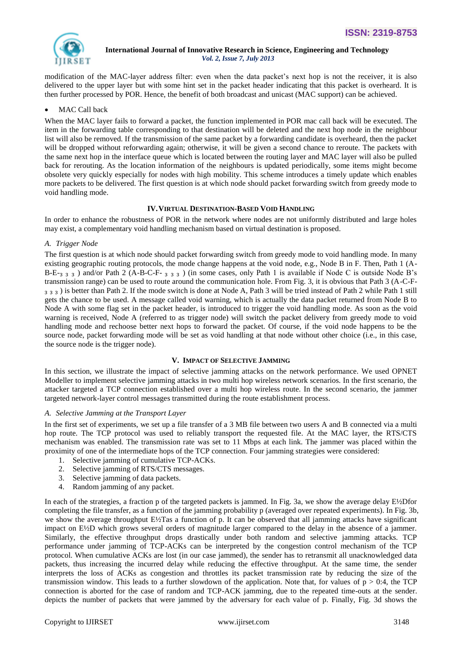modification of the MAC-layer address filter: even when the data packet's next hop is not the receiver, it is also delivered to the upper layer but with some hint set in the packet header indicating that this packet is overheard. It is then further processed by POR. Hence, the benefit of both broadcast and unicast (MAC support) can be achieved.

# MAC Call back

When the MAC layer fails to forward a packet, the function implemented in POR mac call back will be executed. The item in the forwarding table corresponding to that destination will be deleted and the next hop node in the neighbour list will also be removed. If the transmission of the same packet by a forwarding candidate is overheard, then the packet will be dropped without reforwarding again; otherwise, it will be given a second chance to reroute. The packets with the same next hop in the interface queue which is located between the routing layer and MAC layer will also be pulled back for rerouting. As the location information of the neighbours is updated periodically, some items might become obsolete very quickly especially for nodes with high mobility. This scheme introduces a timely update which enables more packets to be delivered. The first question is at which node should packet forwarding switch from greedy mode to void handling mode.

# **IV.VIRTUAL DESTINATION-BASED VOID HANDLING**

In order to enhance the robustness of POR in the network where nodes are not uniformly distributed and large holes may exist, a complementary void handling mechanism based on virtual destination is proposed.

# *A. Trigger Node*

The first question is at which node should packet forwarding switch from greedy mode to void handling mode. In many existing geographic routing protocols, the mode change happens at the void node, e.g., Node B in F. Then, Path 1 (A-B-E-<sub>3</sub> <sub>3</sub> <sub>3</sub> ) and/or Path 2 (A-B-C-F- <sub>3</sub> <sub>3</sub> <sub>3</sub> ) (in some cases, only Path 1 is available if Node C is outside Node B's transmission range) can be used to route around the communication hole. From Fig. 3, it is obvious that Path 3 (A-C-F-  $3$   $3$   $3$ ) is better than Path 2. If the mode switch is done at Node A, Path 3 will be tried instead of Path 2 while Path 1 still gets the chance to be used. A message called void warning, which is actually the data packet returned from Node B to Node A with some flag set in the packet header, is introduced to trigger the void handling mode. As soon as the void warning is received, Node A (referred to as trigger node) will switch the packet delivery from greedy mode to void handling mode and rechoose better next hops to forward the packet. Of course, if the void node happens to be the source node, packet forwarding mode will be set as void handling at that node without other choice (i.e., in this case, the source node is the trigger node).

# **V. IMPACT OF SELECTIVE JAMMING**

In this section, we illustrate the impact of selective jamming attacks on the network performance. We used OPNET Modeller to implement selective jamming attacks in two multi hop wireless network scenarios. In the first scenario, the attacker targeted a TCP connection established over a multi hop wireless route. In the second scenario, the jammer targeted network-layer control messages transmitted during the route establishment process.

# *A. Selective Jamming at the Transport Layer*

In the first set of experiments, we set up a file transfer of a 3 MB file between two users A and B connected via a multi hop route. The TCP protocol was used to reliably transport the requested file. At the MAC layer, the RTS/CTS mechanism was enabled. The transmission rate was set to 11 Mbps at each link. The jammer was placed within the proximity of one of the intermediate hops of the TCP connection. Four jamming strategies were considered:

- 1. Selective jamming of cumulative TCP-ACKs.
- 2. Selective jamming of RTS/CTS messages.
- 3. Selective jamming of data packets.
- 4. Random jamming of any packet.

In each of the strategies, a fraction p of the targeted packets is jammed. In Fig. 3a, we show the average delay E½Dfor completing the file transfer, as a function of the jamming probability p (averaged over repeated experiments). In Fig. 3b, we show the average throughput E½Tas a function of p. It can be observed that all jamming attacks have significant impact on E½D which grows several orders of magnitude larger compared to the delay in the absence of a jammer. Similarly, the effective throughput drops drastically under both random and selective jamming attacks. TCP performance under jamming of TCP-ACKs can be interpreted by the congestion control mechanism of the TCP protocol. When cumulative ACKs are lost (in our case jammed), the sender has to retransmit all unacknowledged data packets, thus increasing the incurred delay while reducing the effective throughput. At the same time, the sender interprets the loss of ACKs as congestion and throttles its packet transmission rate by reducing the size of the transmission window. This leads to a further slowdown of the application. Note that, for values of  $p > 0.4$ , the TCP connection is aborted for the case of random and TCP-ACK jamming, due to the repeated time-outs at the sender. depicts the number of packets that were jammed by the adversary for each value of p. Finally, Fig. 3d shows the